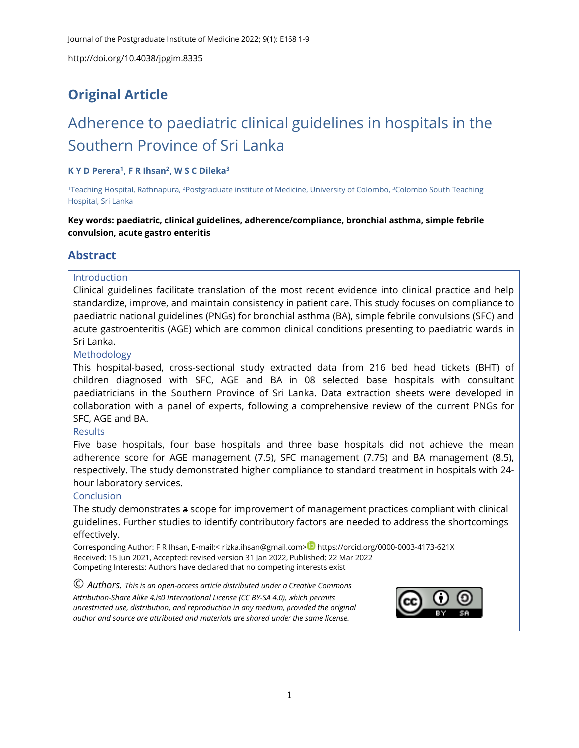## **Original Article**

# Adherence to paediatric clinical guidelines in hospitals in the Southern Province of Sri Lanka

#### **K Y D Perera<sup>1</sup> , F R Ihsan<sup>2</sup> , W S C Dileka<sup>3</sup>**

<sup>1</sup>Teaching Hospital, Rathnapura, <sup>2</sup>Postgraduate institute of Medicine, University of Colombo, <sup>3</sup>Colombo South Teaching Hospital, Sri Lanka

**Key words: paediatric, clinical guidelines, adherence/compliance, bronchial asthma, simple febrile convulsion, acute gastro enteritis**

#### **Abstract**

#### Introduction

Clinical guidelines facilitate translation of the most recent evidence into clinical practice and help standardize, improve, and maintain consistency in patient care. This study focuses on compliance to paediatric national guidelines (PNGs) for bronchial asthma (BA), simple febrile convulsions (SFC) and acute gastroenteritis (AGE) which are common clinical conditions presenting to paediatric wards in Sri Lanka.

#### Methodology

This hospital-based, cross-sectional study extracted data from 216 bed head tickets (BHT) of children diagnosed with SFC, AGE and BA in 08 selected base hospitals with consultant paediatricians in the Southern Province of Sri Lanka. Data extraction sheets were developed in collaboration with a panel of experts, following a comprehensive review of the current PNGs for SFC, AGE and BA.

#### **Results**

Five base hospitals, four base hospitals and three base hospitals did not achieve the mean adherence score for AGE management (7.5), SFC management (7.75) and BA management (8.5), respectively. The study demonstrated higher compliance to standard treatment in hospitals with 24 hour laboratory services.

#### **Conclusion**

The study demonstrates a scope for improvement of management practices compliant with clinical guidelines. Further studies to identify contributory factors are needed to address the shortcomings effectively.

Corresponding Author: F R Ihsan, E-mail:< [rizka.ihsan@gmail.com>](mailto:rizka.ihsan@gmail.com) <https://orcid.org/0000-0003-4173-621X> Received: 15 Jun 2021, Accepted: revised version 31 Jan 2022, Published: 22 Mar 2022 Competing Interests: Authors have declared that no competing interests exist

© *Authors. This is an open-access article distributed under a [Creative Commons](http://creativecommons.org/licenses/by-sa/4.0/)  [Attribution-Share Alike 4.is0 International License](http://creativecommons.org/licenses/by-sa/4.0/) (CC BY-SA 4.0), which permits unrestricted use, distribution, and reproduction in any medium, provided the original author and source are attributed and materials are shared under the same license.* 

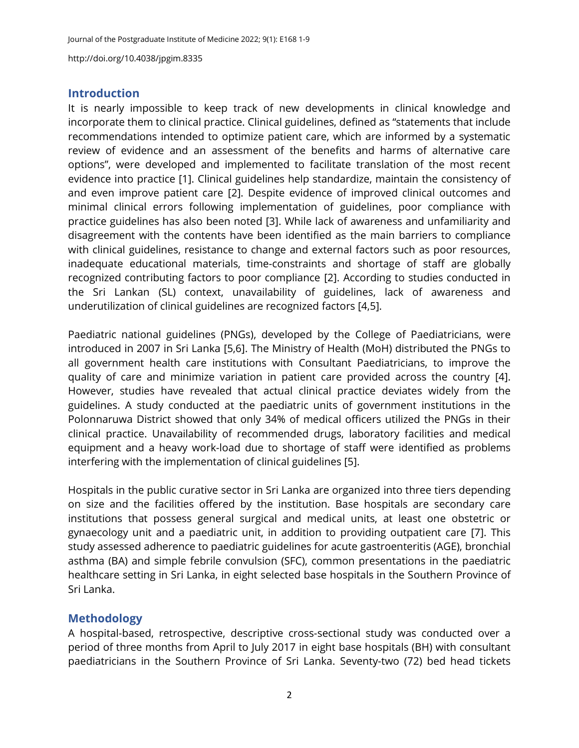### **Introduction**

It is nearly impossible to keep track of new developments in clinical knowledge and incorporate them to clinical practice. Clinical guidelines, defined as "statements that include recommendations intended to optimize patient care, which are informed by a systematic review of evidence and an assessment of the benefits and harms of alternative care options", were developed and implemented to facilitate translation of the most recent evidence into practice [\[1\]](#page-7-0). Clinical guidelines help standardize, maintain the consistency of and even improve patient care [\[2\]](#page-7-1). Despite evidence of improved clinical outcomes and minimal clinical errors following implementation of guidelines, poor compliance with practice guidelines has also been noted [\[3\]](#page-7-2). While lack of awareness and unfamiliarity and disagreement with the contents have been identified as the main barriers to compliance with clinical guidelines, resistance to change and external factors such as poor resources, inadequate educational materials, time-constraints and shortage of staff are globally recognized contributing factors to poor compliance [\[2\]](#page-7-1). According to studies conducted in the Sri Lankan (SL) context, unavailability of guidelines, lack of awareness and underutilization of clinical guidelines are recognized factors [\[4,](#page-7-3)[5\]](#page-7-4).

Paediatric national guidelines (PNGs), developed by the College of Paediatricians, were introduced in 2007 in Sri Lanka [\[5,](#page-7-4)[6\]](#page-7-5). The Ministry of Health (MoH) distributed the PNGs to all government health care institutions with Consultant Paediatricians, to improve the quality of care and minimize variation in patient care provided across the country [\[4\]](#page-7-3). However, studies have revealed that actual clinical practice deviates widely from the guidelines. A study conducted at the paediatric units of government institutions in the Polonnaruwa District showed that only 34% of medical officers utilized the PNGs in their clinical practice. Unavailability of recommended drugs, laboratory facilities and medical equipment and a heavy work-load due to shortage of staff were identified as problems interfering with the implementation of clinical guidelines [\[5\]](#page-7-4).

Hospitals in the public curative sector in Sri Lanka are organized into three tiers depending on size and the facilities offered by the institution. Base hospitals are secondary care institutions that possess general surgical and medical units, at least one obstetric or gynaecology unit and a paediatric unit, in addition to providing outpatient care [\[7\]](#page-7-6). This study assessed adherence to paediatric guidelines for acute gastroenteritis (AGE), bronchial asthma (BA) and simple febrile convulsion (SFC), common presentations in the paediatric healthcare setting in Sri Lanka, in eight selected base hospitals in the Southern Province of Sri Lanka.

## **Methodology**

A hospital-based, retrospective, descriptive cross-sectional study was conducted over a period of three months from April to July 2017 in eight base hospitals (BH) with consultant paediatricians in the Southern Province of Sri Lanka. Seventy-two (72) bed head tickets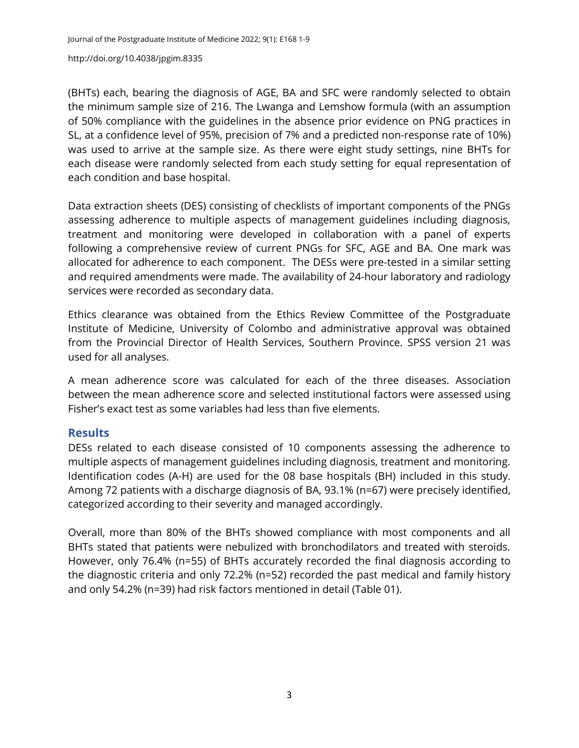(BHTs) each, bearing the diagnosis of AGE, BA and SFC were randomly selected to obtain the minimum sample size of 216. The Lwanga and Lemshow formula (with an assumption of 50% compliance with the guidelines in the absence prior evidence on PNG practices in SL, at a confidence level of 95%, precision of 7% and a predicted non-response rate of 10%) was used to arrive at the sample size. As there were eight study settings, nine BHTs for each disease were randomly selected from each study setting for equal representation of each condition and base hospital.

Data extraction sheets (DES) consisting of checklists of important components of the PNGs assessing adherence to multiple aspects of management guidelines including diagnosis, treatment and monitoring were developed in collaboration with a panel of experts following a comprehensive review of current PNGs for SFC, AGE and BA. One mark was allocated for adherence to each component. The DESs were pre-tested in a similar setting and required amendments were made. The availability of 24-hour laboratory and radiology services were recorded as secondary data.

Ethics clearance was obtained from the Ethics Review Committee of the Postgraduate Institute of Medicine, University of Colombo and administrative approval was obtained from the Provincial Director of Health Services, Southern Province. SPSS version 21 was used for all analyses.

A mean adherence score was calculated for each of the three diseases. Association between the mean adherence score and selected institutional factors were assessed using Fisher's exact test as some variables had less than five elements.

## **Results**

DESs related to each disease consisted of 10 components assessing the adherence to multiple aspects of management guidelines including diagnosis, treatment and monitoring. Identification codes (A-H) are used for the 08 base hospitals (BH) included in this study. Among 72 patients with a discharge diagnosis of BA, 93.1% (n=67) were precisely identified, categorized according to their severity and managed accordingly.

Overall, more than 80% of the BHTs showed compliance with most components and all BHTs stated that patients were nebulized with bronchodilators and treated with steroids. However, only 76.4% (n=55) of BHTs accurately recorded the final diagnosis according to the diagnostic criteria and only 72.2% (n=52) recorded the past medical and family history and only 54.2% (n=39) had risk factors mentioned in detail (Table 01).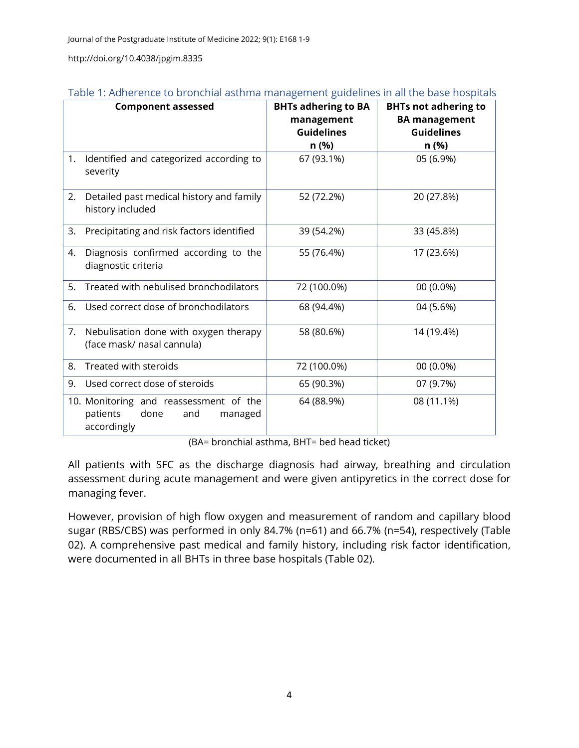|    | <b>Component assessed</b>                                                                   | <b>BHTs adhering to BA</b><br>management<br><b>Guidelines</b><br>n (%) | <b>BHTs not adhering to</b><br><b>BA</b> management<br><b>Guidelines</b><br>n (%) |
|----|---------------------------------------------------------------------------------------------|------------------------------------------------------------------------|-----------------------------------------------------------------------------------|
| 1. | Identified and categorized according to<br>severity                                         | 67 (93.1%)                                                             | 05 (6.9%)                                                                         |
| 2. | Detailed past medical history and family<br>history included                                | 52 (72.2%)                                                             | 20 (27.8%)                                                                        |
| 3. | Precipitating and risk factors identified                                                   | 39 (54.2%)                                                             | 33 (45.8%)                                                                        |
| 4. | Diagnosis confirmed according to the<br>diagnostic criteria                                 | 55 (76.4%)                                                             | 17 (23.6%)                                                                        |
| 5. | Treated with nebulised bronchodilators                                                      | 72 (100.0%)                                                            | 00 (0.0%)                                                                         |
| 6. | Used correct dose of bronchodilators                                                        | 68 (94.4%)                                                             | 04 (5.6%)                                                                         |
| 7. | Nebulisation done with oxygen therapy<br>(face mask/ nasal cannula)                         | 58 (80.6%)                                                             | 14 (19.4%)                                                                        |
| 8. | Treated with steroids                                                                       | 72 (100.0%)                                                            | 00 (0.0%)                                                                         |
| 9. | Used correct dose of steroids                                                               | 65 (90.3%)                                                             | 07 (9.7%)                                                                         |
|    | 10. Monitoring and reassessment of the<br>patients<br>done<br>and<br>managed<br>accordingly | 64 (88.9%)                                                             | 08 (11.1%)                                                                        |

| Table 1: Adherence to bronchial asthma management guidelines in all the base hospitals |  |  |  |  |
|----------------------------------------------------------------------------------------|--|--|--|--|
|                                                                                        |  |  |  |  |

(BA= bronchial asthma, BHT= bed head ticket)

All patients with SFC as the discharge diagnosis had airway, breathing and circulation assessment during acute management and were given antipyretics in the correct dose for managing fever.

However, provision of high flow oxygen and measurement of random and capillary blood sugar (RBS/CBS) was performed in only 84.7% (n=61) and 66.7% (n=54), respectively (Table 02). A comprehensive past medical and family history, including risk factor identification, were documented in all BHTs in three base hospitals (Table 02).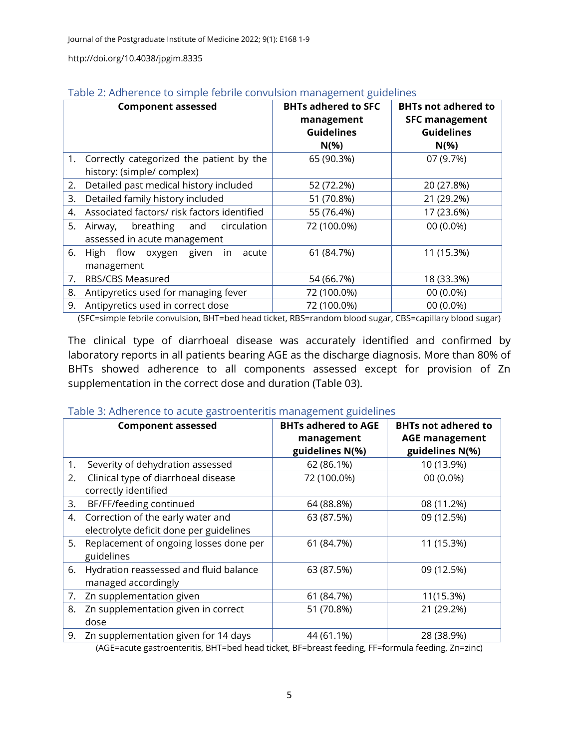|    | Table 2. Additionally analysis reported convusion management guidemess |                            |                            |  |  |  |  |
|----|------------------------------------------------------------------------|----------------------------|----------------------------|--|--|--|--|
|    | <b>Component assessed</b>                                              | <b>BHTs adhered to SFC</b> | <b>BHTs not adhered to</b> |  |  |  |  |
|    |                                                                        | management                 | <b>SFC management</b>      |  |  |  |  |
|    |                                                                        | <b>Guidelines</b>          | <b>Guidelines</b>          |  |  |  |  |
|    |                                                                        | $N(\% )$                   | $N(\% )$                   |  |  |  |  |
|    | 1. Correctly categorized the patient by the                            | 65 (90.3%)                 | 07 (9.7%)                  |  |  |  |  |
|    | history: (simple/ complex)                                             |                            |                            |  |  |  |  |
| 2. | Detailed past medical history included                                 | 52 (72.2%)                 | 20 (27.8%)                 |  |  |  |  |
| 3. | Detailed family history included                                       | 51 (70.8%)                 | 21 (29.2%)                 |  |  |  |  |
| 4. | Associated factors/ risk factors identified                            | 55 (76.4%)                 | 17 (23.6%)                 |  |  |  |  |
| 5. | breathing<br>circulation<br>and<br>Airway,                             | 72 (100.0%)                | 00 (0.0%)                  |  |  |  |  |
|    | assessed in acute management                                           |                            |                            |  |  |  |  |
| 6. | High flow oxygen given<br>in<br>acute                                  | 61 (84.7%)                 | 11 (15.3%)                 |  |  |  |  |
|    | management                                                             |                            |                            |  |  |  |  |
| 7. | <b>RBS/CBS Measured</b>                                                | 54 (66.7%)                 | 18 (33.3%)                 |  |  |  |  |
| 8. | Antipyretics used for managing fever                                   | 72 (100.0%)                | 00 (0.0%)                  |  |  |  |  |
| 9. | Antipyretics used in correct dose                                      | 72 (100.0%)                | 00 (0.0%)                  |  |  |  |  |

|  | Table 2: Adherence to simple febrile convulsion management guidelines |
|--|-----------------------------------------------------------------------|
|  |                                                                       |

(SFC=simple febrile convulsion, BHT=bed head ticket, RBS=random blood sugar, CBS=capillary blood sugar)

The clinical type of diarrhoeal disease was accurately identified and confirmed by laboratory reports in all patients bearing AGE as the discharge diagnosis. More than 80% of BHTs showed adherence to all components assessed except for provision of Zn supplementation in the correct dose and duration (Table 03).

#### Table 3: Adherence to acute gastroenteritis management guidelines

|    | <b>Component assessed</b>               | <b>BHTs adhered to AGE</b><br>management | <b>BHTs not adhered to</b><br><b>AGE management</b> |
|----|-----------------------------------------|------------------------------------------|-----------------------------------------------------|
|    |                                         | guidelines N(%)                          | guidelines N(%)                                     |
| 1. | Severity of dehydration assessed        | 62 (86.1%)                               | 10 (13.9%)                                          |
| 2. | Clinical type of diarrhoeal disease     | 72 (100.0%)                              | 00 (0.0%)                                           |
|    | correctly identified                    |                                          |                                                     |
| 3. | BF/FF/feeding continued                 | 64 (88.8%)                               | 08 (11.2%)                                          |
|    | 4. Correction of the early water and    | 63 (87.5%)                               | 09 (12.5%)                                          |
|    | electrolyte deficit done per guidelines |                                          |                                                     |
| 5. | Replacement of ongoing losses done per  | 61 (84.7%)                               | 11 (15.3%)                                          |
|    | guidelines                              |                                          |                                                     |
| 6. | Hydration reassessed and fluid balance  | 63 (87.5%)                               | 09 (12.5%)                                          |
|    | managed accordingly                     |                                          |                                                     |
| 7. | Zn supplementation given                | 61 (84.7%)                               | 11(15.3%)                                           |
| 8. | Zn supplementation given in correct     | 51 (70.8%)                               | 21 (29.2%)                                          |
|    | dose                                    |                                          |                                                     |
| 9. | Zn supplementation given for 14 days    | 44 (61.1%)                               | 28 (38.9%)                                          |

(AGE=acute gastroenteritis, BHT=bed head ticket, BF=breast feeding, FF=formula feeding, Zn=zinc)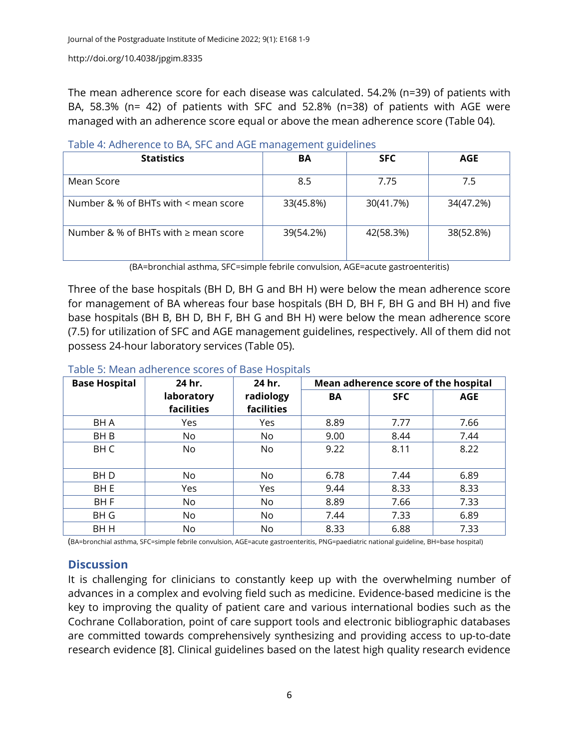The mean adherence score for each disease was calculated. 54.2% (n=39) of patients with BA, 58.3% (n= 42) of patients with SFC and 52.8% (n=38) of patients with AGE were managed with an adherence score equal or above the mean adherence score (Table 04).

|                                           | ັ         |            |           |
|-------------------------------------------|-----------|------------|-----------|
| <b>Statistics</b>                         | BA        | <b>SFC</b> | AGE       |
| Mean Score                                | 8.5       | 7.75       | 7.5       |
| Number & % of BHTs with < mean score      | 33(45.8%) | 30(41.7%)  | 34(47.2%) |
| Number & % of BHTs with $\geq$ mean score | 39(54.2%) | 42(58.3%)  | 38(52.8%) |

Table 4: Adherence to BA, SFC and AGE management guidelines

(BA=bronchial asthma, SFC=simple febrile convulsion, AGE=acute gastroenteritis)

Three of the base hospitals (BH D, BH G and BH H) were below the mean adherence score for management of BA whereas four base hospitals (BH D, BH F, BH G and BH H) and five base hospitals (BH B, BH D, BH F, BH G and BH H) were below the mean adherence score (7.5) for utilization of SFC and AGE management guidelines, respectively. All of them did not possess 24-hour laboratory services (Table 05).

## Table 5: Mean adherence scores of Base Hospitals

| <b>Base Hospital</b> | 24 hr.                   | 24 hr.                  | Mean adherence score of the hospital |            |            |
|----------------------|--------------------------|-------------------------|--------------------------------------|------------|------------|
|                      | laboratory<br>facilities | radiology<br>facilities | BA                                   | <b>SFC</b> | <b>AGE</b> |
| BH A                 | Yes                      | Yes                     | 8.89                                 | 7.77       | 7.66       |
| BH B                 | No                       | No                      | 9.00                                 | 8.44       | 7.44       |
| <b>BHC</b>           | No                       | No                      | 9.22                                 | 8.11       | 8.22       |
| BH D                 | No                       | No.                     | 6.78                                 | 7.44       | 6.89       |
| BH E                 | Yes                      | Yes                     | 9.44                                 | 8.33       | 8.33       |
| BH <sub>F</sub>      | No                       | No                      | 8.89                                 | 7.66       | 7.33       |
| BH G                 | No                       | No                      | 7.44                                 | 7.33       | 6.89       |
| BH H                 | No.                      | No.                     | 8.33                                 | 6.88       | 7.33       |

(BA=bronchial asthma, SFC=simple febrile convulsion, AGE=acute gastroenteritis, PNG=paediatric national guideline, BH=base hospital)

## **Discussion**

It is challenging for clinicians to constantly keep up with the overwhelming number of advances in a complex and evolving field such as medicine. Evidence-based medicine is the key to improving the quality of patient care and various international bodies such as the Cochrane Collaboration, point of care support tools and electronic bibliographic databases are committed towards comprehensively synthesizing and providing access to up-to-date research evidence [\[8\]](#page-7-7). Clinical guidelines based on the latest high quality research evidence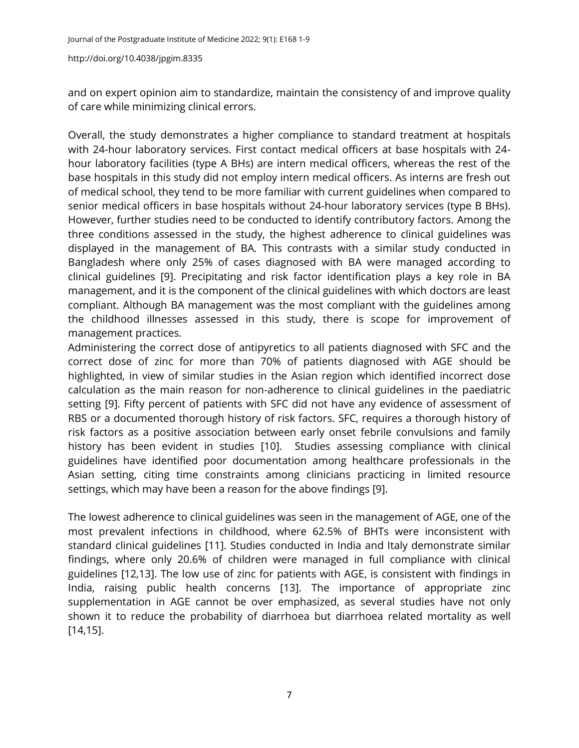and on expert opinion aim to standardize, maintain the consistency of and improve quality of care while minimizing clinical errors.

Overall, the study demonstrates a higher compliance to standard treatment at hospitals with 24-hour laboratory services. First contact medical officers at base hospitals with 24 hour laboratory facilities (type A BHs) are intern medical officers, whereas the rest of the base hospitals in this study did not employ intern medical officers. As interns are fresh out of medical school, they tend to be more familiar with current guidelines when compared to senior medical officers in base hospitals without 24-hour laboratory services (type B BHs). However, further studies need to be conducted to identify contributory factors. Among the three conditions assessed in the study, the highest adherence to clinical guidelines was displayed in the management of BA. This contrasts with a similar study conducted in Bangladesh where only 25% of cases diagnosed with BA were managed according to clinical guidelines [\[9\]](#page-8-0). Precipitating and risk factor identification plays a key role in BA management, and it is the component of the clinical guidelines with which doctors are least compliant. Although BA management was the most compliant with the guidelines among the childhood illnesses assessed in this study, there is scope for improvement of management practices.

Administering the correct dose of antipyretics to all patients diagnosed with SFC and the correct dose of zinc for more than 70% of patients diagnosed with AGE should be highlighted, in view of similar studies in the Asian region which identified incorrect dose calculation as the main reason for non-adherence to clinical guidelines in the paediatric setting [\[9\]](#page-8-0). Fifty percent of patients with SFC did not have any evidence of assessment of RBS or a documented thorough history of risk factors. SFC, requires a thorough history of risk factors as a positive association between early onset febrile convulsions and family history has been evident in studies [\[10\]](#page-8-1). Studies assessing compliance with clinical guidelines have identified poor documentation among healthcare professionals in the Asian setting, citing time constraints among clinicians practicing in limited resource settings, which may have been a reason for the above findings [\[9\]](#page-8-0).

The lowest adherence to clinical guidelines was seen in the management of AGE, one of the most prevalent infections in childhood, where 62.5% of BHTs were inconsistent with standard clinical guidelines [\[11\]](#page-8-2). Studies conducted in India and Italy demonstrate similar findings, where only 20.6% of children were managed in full compliance with clinical guidelines [\[12](#page-8-3)[,13\]](#page-8-4). The low use of zinc for patients with AGE, is consistent with findings in India, raising public health concerns [\[13\]](#page-8-4). The importance of appropriate zinc supplementation in AGE cannot be over emphasized, as several studies have not only shown it to reduce the probability of diarrhoea but diarrhoea related mortality as well [\[14](#page-8-5)[,15\]](#page-8-6).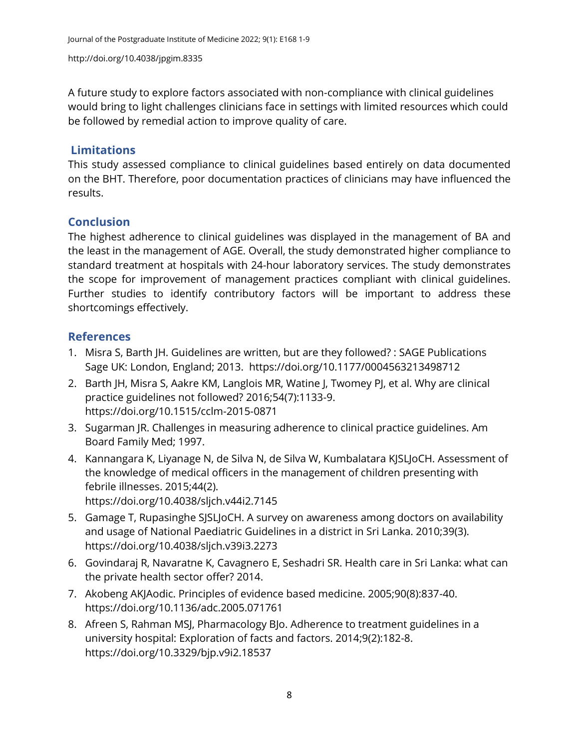A future study to explore factors associated with non-compliance with clinical guidelines would bring to light challenges clinicians face in settings with limited resources which could be followed by remedial action to improve quality of care.

## **Limitations**

This study assessed compliance to clinical guidelines based entirely on data documented on the BHT. Therefore, poor documentation practices of clinicians may have influenced the results.

## **Conclusion**

The highest adherence to clinical guidelines was displayed in the management of BA and the least in the management of AGE. Overall, the study demonstrated higher compliance to standard treatment at hospitals with 24-hour laboratory services. The study demonstrates the scope for improvement of management practices compliant with clinical guidelines. Further studies to identify contributory factors will be important to address these shortcomings effectively.

## **References**

- <span id="page-7-0"></span>1. Misra S, Barth JH. Guidelines are written, but are they followed? : SAGE Publications Sage UK: London, England; 2013. <https://doi.org/10.1177/0004563213498712>
- <span id="page-7-1"></span>2. Barth JH, Misra S, Aakre KM, Langlois MR, Watine J, Twomey PJ, et al. Why are clinical practice guidelines not followed? 2016;54(7):1133-9. <https://doi.org/10.1515/cclm-2015-0871>
- <span id="page-7-2"></span>3. Sugarman JR. Challenges in measuring adherence to clinical practice guidelines. Am Board Family Med; 1997.
- <span id="page-7-3"></span>4. Kannangara K, Liyanage N, de Silva N, de Silva W, Kumbalatara KJSLJoCH. Assessment of the knowledge of medical officers in the management of children presenting with febrile illnesses. 2015;44(2). <https://doi.org/10.4038/sljch.v44i2.7145>
- <span id="page-7-4"></span>5. Gamage T, Rupasinghe SJSLJoCH. A survey on awareness among doctors on availability and usage of National Paediatric Guidelines in a district in Sri Lanka. 2010;39(3). <https://doi.org/10.4038/sljch.v39i3.2273>
- <span id="page-7-5"></span>6. Govindaraj R, Navaratne K, Cavagnero E, Seshadri SR. Health care in Sri Lanka: what can the private health sector offer? 2014.
- <span id="page-7-6"></span>7. Akobeng AKJAodic. Principles of evidence based medicine. 2005;90(8):837-40. <https://doi.org/10.1136/adc.2005.071761>
- <span id="page-7-7"></span>8. Afreen S, Rahman MSJ, Pharmacology BJo. Adherence to treatment guidelines in a university hospital: Exploration of facts and factors. 2014;9(2):182-8. <https://doi.org/10.3329/bjp.v9i2.18537>